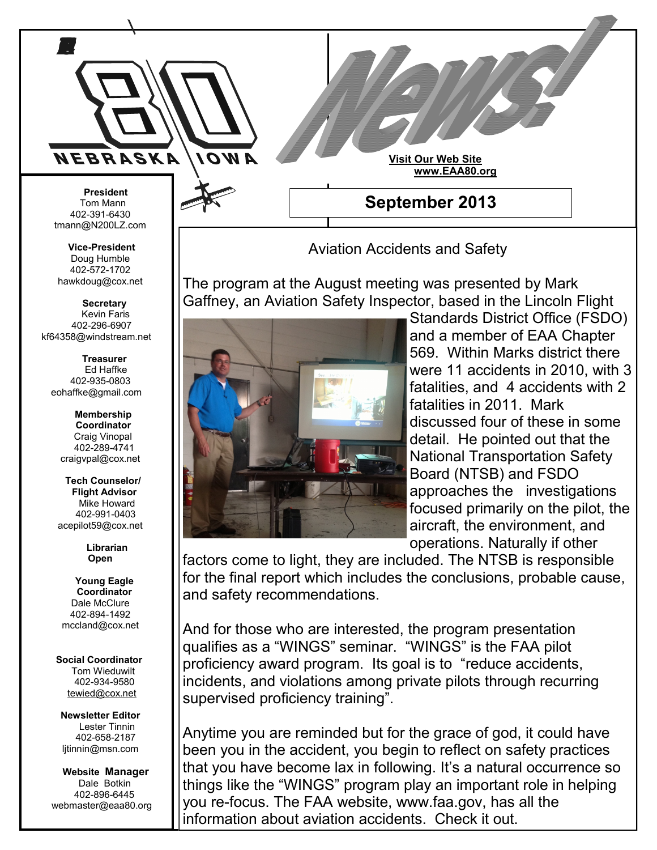

Aviation Accidents and Safety

The program at the August meeting was presented by Mark Gaffney, an Aviation Safety Inspector, based in the Lincoln Flight



Standards District Office (FSDO) and a member of EAA Chapter 569. Within Marks district there were 11 accidents in 2010, with 3 fatalities, and 4 accidents with 2 fatalities in 2011. Mark discussed four of these in some detail. He pointed out that the National Transportation Safety Board (NTSB) and FSDO approaches the investigations focused primarily on the pilot, the aircraft, the environment, and operations. Naturally if other

factors come to light, they are included. The NTSB is responsible for the final report which includes the conclusions, probable cause, and safety recommendations.

And for those who are interested, the program presentation qualifies as a "WINGS" seminar. "WINGS" is the FAA pilot proficiency award program. Its goal is to "reduce accidents, incidents, and violations among private pilots through recurring supervised proficiency training".

Anytime you are reminded but for the grace of god, it could have been you in the accident, you begin to reflect on safety practices that you have become lax in following. It's a natural occurrence so things like the "WINGS" program play an important role in helping you re-focus. The FAA website, www.faa.gov, has all the information about aviation accidents. Check it out.

tmann@N200LZ.com

**Vice-President** Doug Humble 402-572-1702 hawkdoug@cox.net

 **Secretary** Kevin Faris 402-296-6907 kf64358@windstream.net

 **Treasurer** Ed Haffke 402-935-0803 eohaffke@gmail.com

> **Membership Coordinator** Craig Vinopal 402-289-4741 craigvpal@cox.net

 **Tech Counselor/ Flight Advisor** Mike Howard 402-991-0403 acepilot59@cox.net

> **Librarian Open**

 **Young Eagle Coordinator** Dale McClure 402-894-1492 mccland@cox.net

 **Social Coordinator** Tom Wieduwilt 402-934-9580 [tewied@cox.net](javascript:parent.wgMail.openComposeWindow()

**Newsletter Editor** Lester Tinnin 402-658-2187 ljtinnin@msn.com

 **Website Manager** Dale Botkin 402-896-6445 webmaster@eaa80.org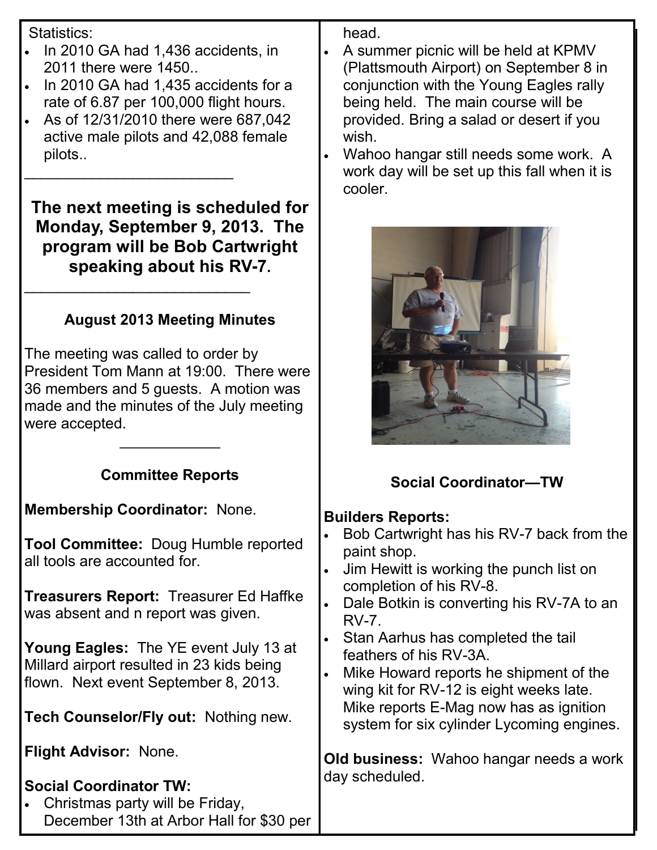Statistics:

- In 2010 GA had 1,436 accidents, in 2011 there were 1450..
- In 2010 GA had 1,435 accidents for a rate of 6.87 per 100,000 flight hours.
- As of 12/31/2010 there were 687,042 active male pilots and 42,088 female pilots..

\_\_\_\_\_\_\_\_\_\_\_\_\_\_\_\_\_\_\_\_\_\_\_\_\_

\_\_\_\_\_\_\_\_\_\_\_\_\_\_\_\_\_\_\_\_\_\_\_\_\_\_\_

**The next meeting is scheduled for Monday, September 9, 2013. The program will be Bob Cartwright speaking about his RV-7.**

# **August 2013 Meeting Minutes**

The meeting was called to order by President Tom Mann at 19:00. There were 36 members and 5 guests. A motion was made and the minutes of the July meeting were accepted.

### **Committee Reports**

\_\_\_\_\_\_\_\_\_\_\_\_

**Membership Coordinator:** None.

**Tool Committee:** Doug Humble reported all tools are accounted for.

**Treasurers Report:** Treasurer Ed Haffke was absent and n report was given.

**Young Eagles:** The YE event July 13 at Millard airport resulted in 23 kids being flown. Next event September 8, 2013.

**Tech Counselor/Fly out:** Nothing new.

**Flight Advisor:** None.

# **Social Coordinator TW:**

 Christmas party will be Friday, December 13th at Arbor Hall for \$30 per head.

- A summer picnic will be held at KPMV (Plattsmouth Airport) on September 8 in conjunction with the Young Eagles rally being held. The main course will be provided. Bring a salad or desert if you wish.
- Wahoo hangar still needs some work. A work day will be set up this fall when it is cooler.



# **Social Coordinator—TW**

#### **Builders Reports:**

- Bob Cartwright has his RV-7 back from the paint shop.
- Jim Hewitt is working the punch list on completion of his RV-8.
- Dale Botkin is converting his RV-7A to an RV-7.
- Stan Aarhus has completed the tail feathers of his RV-3A.
- Mike Howard reports he shipment of the wing kit for RV-12 is eight weeks late. Mike reports E-Mag now has as ignition system for six cylinder Lycoming engines.

**Old business:** Wahoo hangar needs a work day scheduled.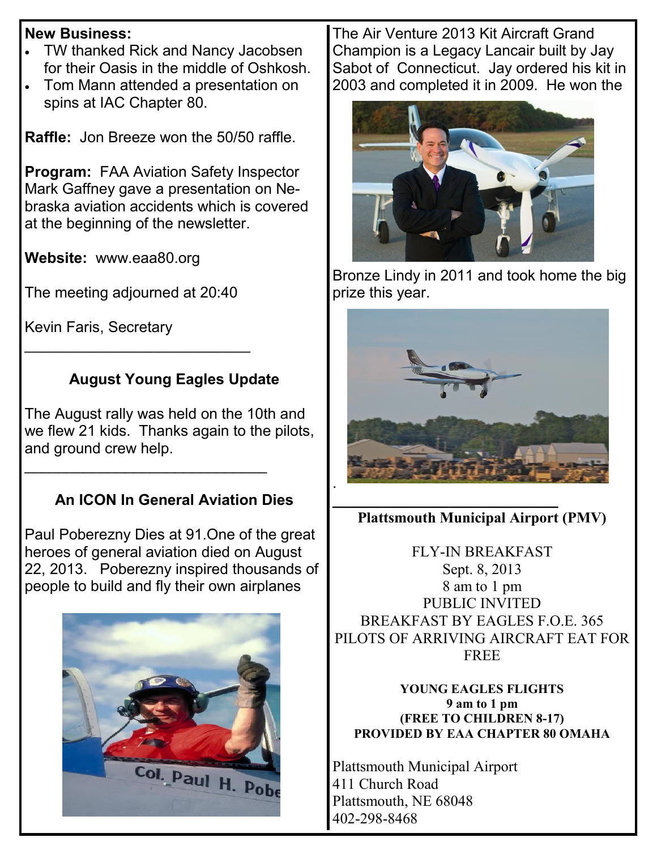#### **New Business:**

- TW thanked Rick and Nancy Jacobsen for their Oasis in the middle of Oshkosh.
- Tom Mann attended a presentation on spins at IAC Chapter 80.

**Raffle:** Jon Breeze won the 50/50 raffle.

**Program:** FAA Aviation Safety Inspector Mark Gaffney gave a presentation on Nebraska aviation accidents which is covered at the beginning of the newsletter.

**Website:** www.eaa80.org

The meeting adjourned at 20:40

\_\_\_\_\_\_\_\_\_\_\_\_\_\_\_\_\_\_\_\_\_\_\_\_\_\_\_

Kevin Faris, Secretary

## **August Young Eagles Update**

The August rally was held on the 10th and we flew 21 kids. Thanks again to the pilots, and ground crew help.

\_\_\_\_\_\_\_\_\_\_\_\_\_\_\_\_\_\_\_\_\_\_\_\_\_\_\_\_\_

# **An ICON In General Aviation Dies**

Paul Poberezny Dies at 91.One of the great heroes of general aviation died on August 22, 2013. Poberezny inspired thousands of people to build and fly their own airplanes



The Air Venture 2013 Kit Aircraft Grand Champion is a Legacy Lancair built by Jay Sabot of Connecticut. Jay ordered his kit in 2003 and completed it in 2009. He won the



Bronze Lindy in 2011 and took home the big prize this year.



*\_\_\_\_\_\_\_\_\_\_\_\_\_\_\_\_\_\_\_\_\_\_\_\_\_\_\_* **Plattsmouth Municipal Airport (PMV)**

FLY-IN BREAKFAST Sept. 8, 2013 8 am to 1 pm PUBLIC INVITED BREAKFAST BY EAGLES F.O.E. 365 PILOTS OF ARRIVING AIRCRAFT EAT FOR FREE

**YOUNG EAGLES FLIGHTS 9 am to 1 pm (FREE TO CHILDREN 8-17) PROVIDED BY EAA CHAPTER 80 OMAHA**

Plattsmouth Municipal Airport 411 Church Road Plattsmouth, NE 68048 402-298-8468